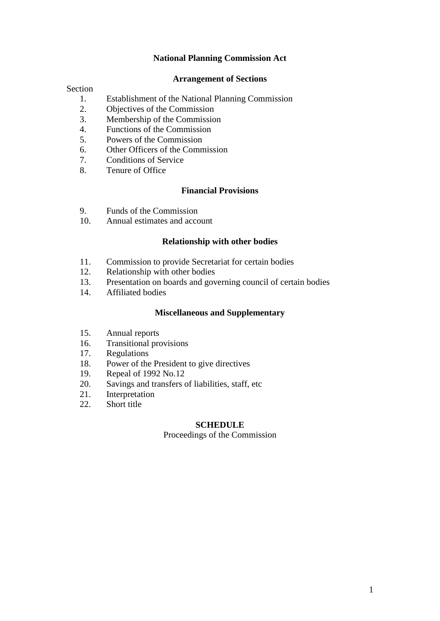# **National Planning Commission Act**

### **Arrangement of Sections**

#### Section

- 1. Establishment of the National Planning Commission
- 2. Objectives of the Commission
- 3. Membership of the Commission
- 4. Functions of the Commission
- 5. Powers of the Commission
- 6. Other Officers of the Commission
- 7. Conditions of Service
- 8. Tenure of Office

## **Financial Provisions**

- 9. Funds of the Commission
- 10. Annual estimates and account

### **Relationship with other bodies**

- 11. Commission to provide Secretariat for certain bodies
- 12. Relationship with other bodies
- 13. Presentation on boards and governing council of certain bodies
- 14. Affiliated bodies

## **Miscellaneous and Supplementary**

- 15. Annual reports
- 16. Transitional provisions
- 17. Regulations
- 18. Power of the President to give directives
- 19. Repeal of 1992 No.12
- 20. Savings and transfers of liabilities, staff, etc
- 21. Interpretation
- 22. Short title

#### **SCHEDULE**

Proceedings of the Commission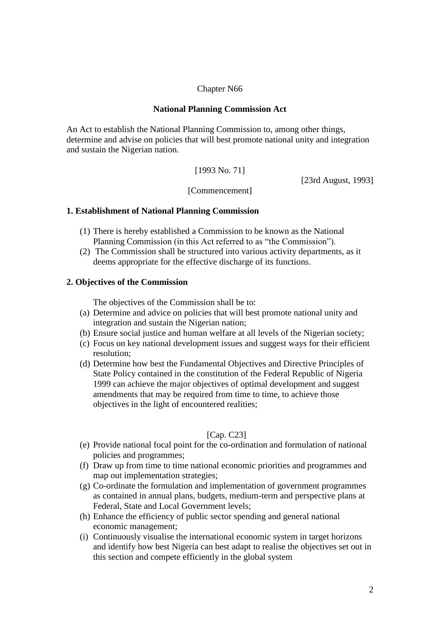# Chapter N66

# **National Planning Commission Act**

An Act to establish the National Planning Commission to, among other things, determine and advise on policies that will best promote national unity and integration and sustain the Nigerian nation.

[1993 No. 71]

[23rd August, 1993]

[Commencement]

# **1. Establishment of National Planning Commission**

- (1) There is hereby established a Commission to be known as the National Planning Commission (in this Act referred to as "the Commission").
- (2) The Commission shall be structured into various activity departments, as it deems appropriate for the effective discharge of its functions.

# **2. Objectives of the Commission**

The objectives of the Commission shall be to:

- (a) Determine and advice on policies that will best promote national unity and integration and sustain the Nigerian nation;
- (b) Ensure social justice and human welfare at all levels of the Nigerian society;
- (c) Focus on key national development issues and suggest ways for their efficient resolution;
- (d) Determine how best the Fundamental Objectives and Directive Principles of State Policy contained in the constitution of the Federal Republic of Nigeria 1999 can achieve the major objectives of optimal development and suggest amendments that may be required from time to time, to achieve those objectives in the light of encountered realities;

## [Cap. C23]

- (e) Provide national focal point for the co-ordination and formulation of national policies and programmes;
- (f) Draw up from time to time national economic priorities and programmes and map out implementation strategies;
- (g) Co-ordinate the formulation and implementation of government programmes as contained in annual plans, budgets, medium-term and perspective plans at Federal, State and Local Government levels;
- (h) Enhance the efficiency of public sector spending and general national economic management;
- (i) Continuously visualise the international economic system in target horizons and identify how best Nigeria can best adapt to realise the objectives set out in this section and compete efficiently in the global system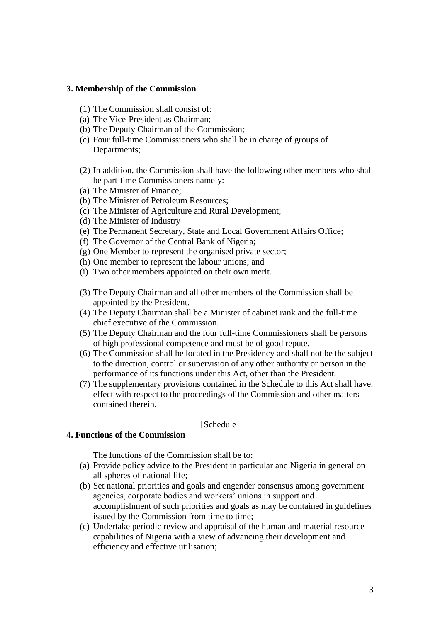## **3. Membership of the Commission**

- (1) The Commission shall consist of:
- (a) The Vice-President as Chairman;
- (b) The Deputy Chairman of the Commission;
- (c) Four full-time Commissioners who shall be in charge of groups of Departments;
- (2) In addition, the Commission shall have the following other members who shall be part-time Commissioners namely:
- (a) The Minister of Finance;
- (b) The Minister of Petroleum Resources;
- (c) The Minister of Agriculture and Rural Development;
- (d) The Minister of Industry
- (e) The Permanent Secretary, State and Local Government Affairs Office;
- (f) The Governor of the Central Bank of Nigeria;
- (g) One Member to represent the organised private sector;
- (h) One member to represent the labour unions; and
- (i) Two other members appointed on their own merit.
- (3) The Deputy Chairman and all other members of the Commission shall be appointed by the President.
- (4) The Deputy Chairman shall be a Minister of cabinet rank and the full-time chief executive of the Commission.
- (5) The Deputy Chairman and the four full-time Commissioners shall be persons of high professional competence and must be of good repute.
- (6) The Commission shall be located in the Presidency and shall not be the subject to the direction, control or supervision of any other authority or person in the performance of its functions under this Act, other than the President.
- (7) The supplementary provisions contained in the Schedule to this Act shall have. effect with respect to the proceedings of the Commission and other matters contained therein.

### [Schedule]

# **4. Functions of the Commission**

The functions of the Commission shall be to:

- (a) Provide policy advice to the President in particular and Nigeria in general on all spheres of national life;
- (b) Set national priorities and goals and engender consensus among government agencies, corporate bodies and workers' unions in support and accomplishment of such priorities and goals as may be contained in guidelines issued by the Commission from time to time;
- (c) Undertake periodic review and appraisal of the human and material resource capabilities of Nigeria with a view of advancing their development and efficiency and effective utilisation;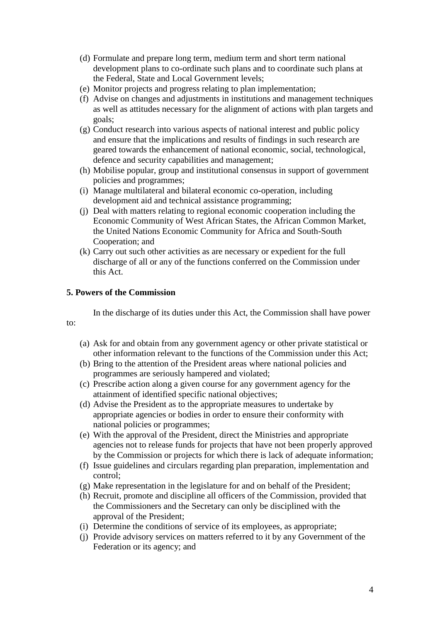- (d) Formulate and prepare long term, medium term and short term national development plans to co-ordinate such plans and to coordinate such plans at the Federal, State and Local Government levels;
- (e) Monitor projects and progress relating to plan implementation;
- (f) Advise on changes and adjustments in institutions and management techniques as well as attitudes necessary for the alignment of actions with plan targets and goals;
- (g) Conduct research into various aspects of national interest and public policy and ensure that the implications and results of findings in such research are geared towards the enhancement of national economic, social, technological, defence and security capabilities and management;
- (h) Mobilise popular, group and institutional consensus in support of government policies and programmes;
- (i) Manage multilateral and bilateral economic co-operation, including development aid and technical assistance programming;
- (j) Deal with matters relating to regional economic cooperation including the Economic Community of West African States, the African Common Market, the United Nations Economic Community for Africa and South-South Cooperation; and
- (k) Carry out such other activities as are necessary or expedient for the full discharge of all or any of the functions conferred on the Commission under this Act.

## **5. Powers of the Commission**

to:

In the discharge of its duties under this Act, the Commission shall have power

- (a) Ask for and obtain from any government agency or other private statistical or other information relevant to the functions of the Commission under this Act;
- (b) Bring to the attention of the President areas where national policies and programmes are seriously hampered and violated;
- (c) Prescribe action along a given course for any government agency for the attainment of identified specific national objectives;
- (d) Advise the President as to the appropriate measures to undertake by appropriate agencies or bodies in order to ensure their conformity with national policies or programmes;
- (e) With the approval of the President, direct the Ministries and appropriate agencies not to release funds for projects that have not been properly approved by the Commission or projects for which there is lack of adequate information;
- (f) Issue guidelines and circulars regarding plan preparation, implementation and control;
- (g) Make representation in the legislature for and on behalf of the President;
- (h) Recruit, promote and discipline all officers of the Commission, provided that the Commissioners and the Secretary can only be disciplined with the approval of the President;
- (i) Determine the conditions of service of its employees, as appropriate;
- (j) Provide advisory services on matters referred to it by any Government of the Federation or its agency; and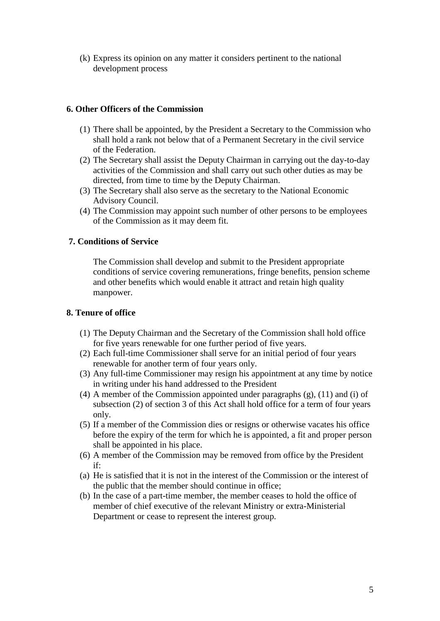(k) Express its opinion on any matter it considers pertinent to the national development process

# **6. Other Officers of the Commission**

- (1) There shall be appointed, by the President a Secretary to the Commission who shall hold a rank not below that of a Permanent Secretary in the civil service of the Federation.
- (2) The Secretary shall assist the Deputy Chairman in carrying out the day-to-day activities of the Commission and shall carry out such other duties as may be directed, from time to time by the Deputy Chairman.
- (3) The Secretary shall also serve as the secretary to the National Economic Advisory Council.
- (4) The Commission may appoint such number of other persons to be employees of the Commission as it may deem fit.

## **7. Conditions of Service**

The Commission shall develop and submit to the President appropriate conditions of service covering remunerations, fringe benefits, pension scheme and other benefits which would enable it attract and retain high quality manpower.

# **8. Tenure of office**

- (1) The Deputy Chairman and the Secretary of the Commission shall hold office for five years renewable for one further period of five years.
- (2) Each full-time Commissioner shall serve for an initial period of four years renewable for another term of four years only.
- (3) Any full-time Commissioner may resign his appointment at any time by notice in writing under his hand addressed to the President
- (4) A member of the Commission appointed under paragraphs (g), (11) and (i) of subsection (2) of section 3 of this Act shall hold office for a term of four years only.
- (5) If a member of the Commission dies or resigns or otherwise vacates his office before the expiry of the term for which he is appointed, a fit and proper person shall be appointed in his place.
- (6) A member of the Commission may be removed from office by the President if:
- (a) He is satisfied that it is not in the interest of the Commission or the interest of the public that the member should continue in office;
- (b) In the case of a part-time member, the member ceases to hold the office of member of chief executive of the relevant Ministry or extra-Ministerial Department or cease to represent the interest group.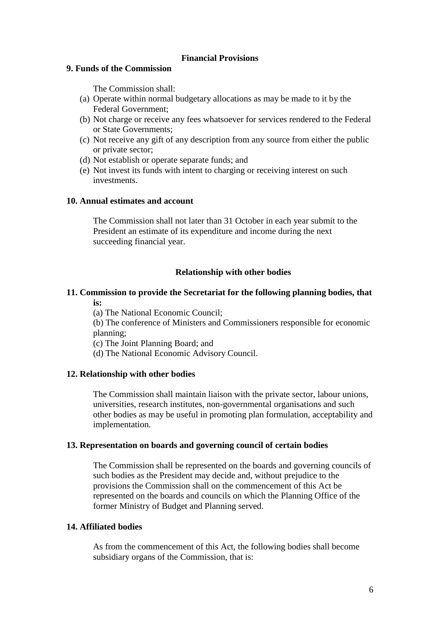## **Financial Provisions**

# **9. Funds of the Commission**

The Commission shall:

- (a) Operate within normal budgetary allocations as may be made to it by the Federal Government;
- (b) Not charge or receive any fees whatsoever for services rendered to the Federal or State Governments;
- (c) Not receive any gift of any description from any source from either the public or private sector;
- (d) Not establish or operate separate funds; and
- (e) Not invest its funds with intent to charging or receiving interest on such investments.

# **10. Annual estimates and account**

The Commission shall not later than 31 October in each year submit to the President an estimate of its expenditure and income during the next succeeding financial year.

# **Relationship with other bodies**

# **11. Commission to provide the Secretariat for the following planning bodies, that is:**

(a) The National Economic Council;

(b) The conference of Ministers and Commissioners responsible for economic planning;

(c) The Joint Planning Board; and

(d) The National Economic Advisory Council.

# **12. Relationship with other bodies**

The Commission shall maintain liaison with the private sector, labour unions, universities, research institutes, non-governmental organisations and such other bodies as may be useful in promoting plan formulation, acceptability and implementation.

## **13. Representation on boards and governing council of certain bodies**

The Commission shall be represented on the boards and governing councils of such bodies as the President may decide and, without prejudice to the provisions the Commission shall on the commencement of this Act be represented on the boards and councils on which the Planning Office of the former Ministry of Budget and Planning served.

## **14. Affiliated bodies**

As from the commencement of this Act, the following bodies shall become subsidiary organs of the Commission, that is: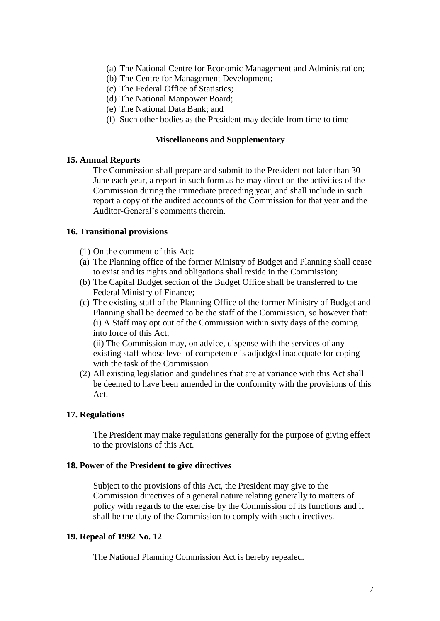- (a) The National Centre for Economic Management and Administration;
- (b) The Centre for Management Development;
- (c) The Federal Office of Statistics;
- (d) The National Manpower Board;
- (e) The National Data Bank; and
- (f) Such other bodies as the President may decide from time to time

#### **Miscellaneous and Supplementary**

### **15. Annual Reports**

The Commission shall prepare and submit to the President not later than 30 June each year, a report in such form as he may direct on the activities of the Commission during the immediate preceding year, and shall include in such report a copy of the audited accounts of the Commission for that year and the Auditor-General's comments therein.

## **16. Transitional provisions**

- (1) On the comment of this Act:
- (a) The Planning office of the former Ministry of Budget and Planning shall cease to exist and its rights and obligations shall reside in the Commission;
- (b) The Capital Budget section of the Budget Office shall be transferred to the Federal Ministry of Finance;
- (c) The existing staff of the Planning Office of the former Ministry of Budget and Planning shall be deemed to be the staff of the Commission, so however that: (i) A Staff may opt out of the Commission within sixty days of the coming into force of this Act;

(ii) The Commission may, on advice, dispense with the services of any existing staff whose level of competence is adjudged inadequate for coping with the task of the Commission.

(2) All existing legislation and guidelines that are at variance with this Act shall be deemed to have been amended in the conformity with the provisions of this Act.

## **17. Regulations**

The President may make regulations generally for the purpose of giving effect to the provisions of this Act.

#### **18. Power of the President to give directives**

Subject to the provisions of this Act, the President may give to the Commission directives of a general nature relating generally to matters of policy with regards to the exercise by the Commission of its functions and it shall be the duty of the Commission to comply with such directives.

# **19. Repeal of 1992 No. 12**

The National Planning Commission Act is hereby repealed.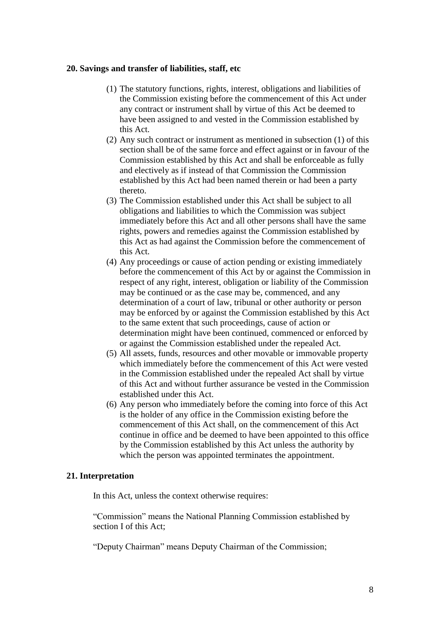#### **20. Savings and transfer of liabilities, staff, etc**

- (1) The statutory functions, rights, interest, obligations and liabilities of the Commission existing before the commencement of this Act under any contract or instrument shall by virtue of this Act be deemed to have been assigned to and vested in the Commission established by this Act.
- (2) Any such contract or instrument as mentioned in subsection (1) of this section shall be of the same force and effect against or in favour of the Commission established by this Act and shall be enforceable as fully and electively as if instead of that Commission the Commission established by this Act had been named therein or had been a party thereto.
- (3) The Commission established under this Act shall be subject to all obligations and liabilities to which the Commission was subject immediately before this Act and all other persons shall have the same rights, powers and remedies against the Commission established by this Act as had against the Commission before the commencement of this Act.
- (4) Any proceedings or cause of action pending or existing immediately before the commencement of this Act by or against the Commission in respect of any right, interest, obligation or liability of the Commission may be continued or as the case may be, commenced, and any determination of a court of law, tribunal or other authority or person may be enforced by or against the Commission established by this Act to the same extent that such proceedings, cause of action or determination might have been continued, commenced or enforced by or against the Commission established under the repealed Act.
- (5) All assets, funds, resources and other movable or immovable property which immediately before the commencement of this Act were vested in the Commission established under the repealed Act shall by virtue of this Act and without further assurance be vested in the Commission established under this Act.
- (6) Any person who immediately before the coming into force of this Act is the holder of any office in the Commission existing before the commencement of this Act shall, on the commencement of this Act continue in office and be deemed to have been appointed to this office by the Commission established by this Act unless the authority by which the person was appointed terminates the appointment.

## **21. Interpretation**

In this Act, unless the context otherwise requires:

"Commission" means the National Planning Commission established by section I of this Act;

"Deputy Chairman" means Deputy Chairman of the Commission;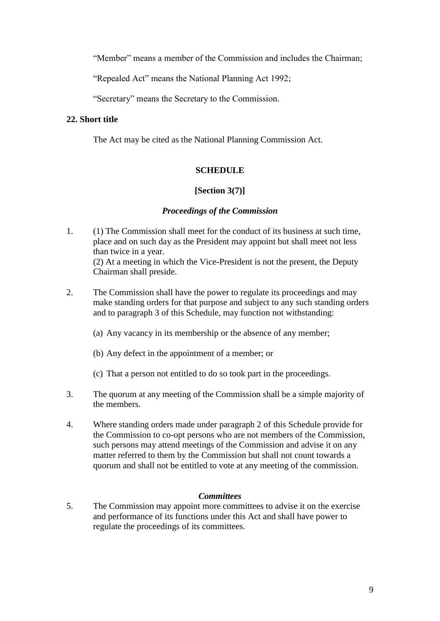"Member" means a member of the Commission and includes the Chairman;

"Repealed Act" means the National Planning Act 1992;

"Secretary" means the Secretary to the Commission.

# **22. Short title**

The Act may be cited as the National Planning Commission Act.

# **SCHEDULE**

# **[Section 3(7)]**

# *Proceedings of the Commission*

- 1. (1) The Commission shall meet for the conduct of its business at such time, place and on such day as the President may appoint but shall meet not less than twice in a year. (2) At a meeting in which the Vice-President is not the present, the Deputy Chairman shall preside.
- 2. The Commission shall have the power to regulate its proceedings and may make standing orders for that purpose and subject to any such standing orders and to paragraph 3 of this Schedule, may function not withstanding:
	- (a) Any vacancy in its membership or the absence of any member;
	- (b) Any defect in the appointment of a member; or
	- (c) That a person not entitled to do so took part in the proceedings.
- 3. The quorum at any meeting of the Commission shall be a simple majority of the members.
- 4. Where standing orders made under paragraph 2 of this Schedule provide for the Commission to co-opt persons who are not members of the Commission, such persons may attend meetings of the Commission and advise it on any matter referred to them by the Commission but shall not count towards a quorum and shall not be entitled to vote at any meeting of the commission.

## *Committees*

5. The Commission may appoint more committees to advise it on the exercise and performance of its functions under this Act and shall have power to regulate the proceedings of its committees.